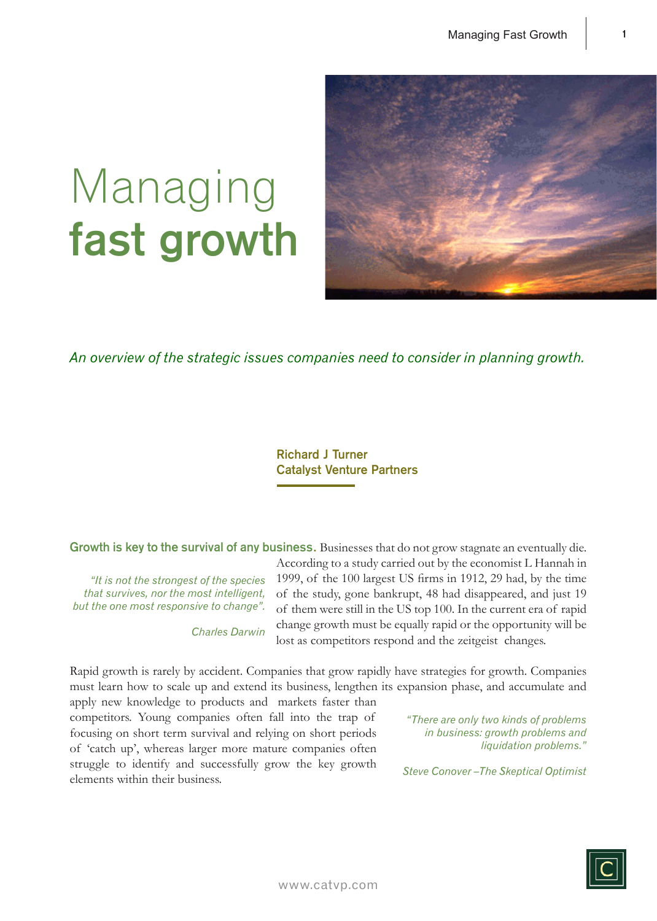# Managing **fast growth**



*An overview of the strategic issues companies need to consider in planning growth.*

## **Richard J Turner Catalyst Venture Partners**

**Growth is key to the survival of any business.** Businesses that do not grow stagnate an eventually die.

*"It is not the strongest of the species that survives, nor the most intelligent, but the one most responsive to change".* 

*Charles Darwin*

According to a study carried out by the economist L Hannah in 1999, of the 100 largest US firms in 1912, 29 had, by the time of the study, gone bankrupt, 48 had disappeared, and just 19 of them were still in the US top 100. In the current era of rapid change growth must be equally rapid or the opportunity will be lost as competitors respond and the zeitgeist changes.

Rapid growth is rarely by accident. Companies that grow rapidly have strategies for growth. Companies must learn how to scale up and extend its business, lengthen its expansion phase, and accumulate and apply new knowledge to products and markets faster than

competitors. Young companies often fall into the trap of focusing on short term survival and relying on short periods of 'catch up', whereas larger more mature companies often struggle to identify and successfully grow the key growth elements within their business.

*"There are only two kinds of problems in business: growth problems and liquidation problems."*

*Steve Conover –The Skeptical Optimist*

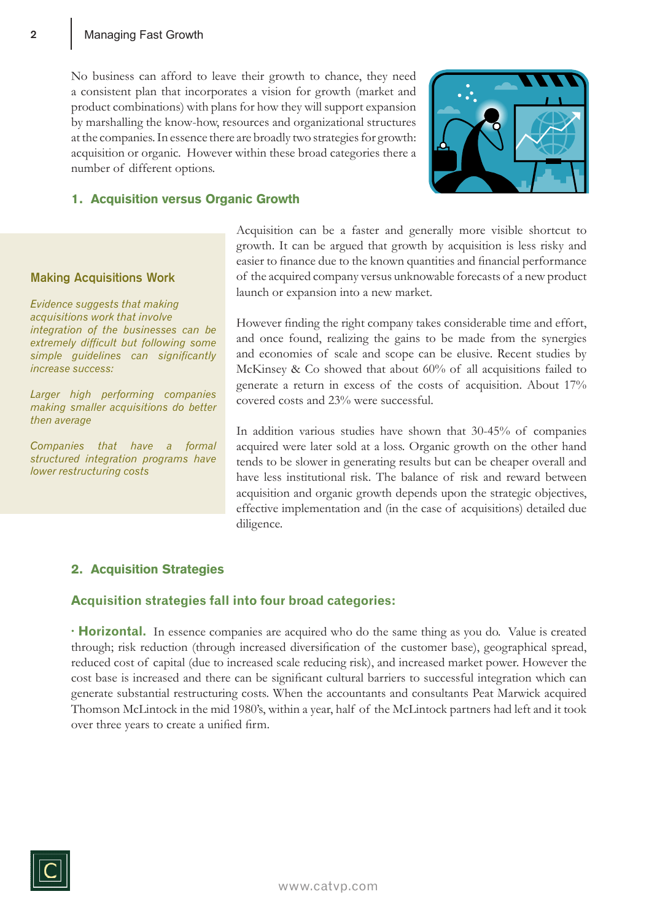No business can afford to leave their growth to chance, they need a consistent plan that incorporates a vision for growth (market and product combinations) with plans for how they will support expansion by marshalling the know-how, resources and organizational structures at the companies. In essence there are broadly two strategies for growth: acquisition or organic. However within these broad categories there a number of different options.



# 1. Acquisition versus Organic Growth

#### **Making Acquisitions Work**

*Evidence suggests that making acquisitions work that involve integration of the businesses can be extremely difficult but following some simple guidelines can significantly increase success:*

*Larger high performing companies making smaller acquisitions do better then average*

*Companies that have a formal structured integration programs have lower restructuring costs*

Acquisition can be a faster and generally more visible shortcut to growth. It can be argued that growth by acquisition is less risky and easier to finance due to the known quantities and financial performance of the acquired company versus unknowable forecasts of a new product launch or expansion into a new market.

However finding the right company takes considerable time and effort, and once found, realizing the gains to be made from the synergies and economies of scale and scope can be elusive. Recent studies by McKinsey & Co showed that about 60% of all acquisitions failed to generate a return in excess of the costs of acquisition. About 17% covered costs and 23% were successful.

In addition various studies have shown that 30-45% of companies acquired were later sold at a loss. Organic growth on the other hand tends to be slower in generating results but can be cheaper overall and have less institutional risk. The balance of risk and reward between acquisition and organic growth depends upon the strategic objectives, effective implementation and (in the case of acquisitions) detailed due diligence.

# 2. Acquisition Strategies

## **Acquisition strategies fall into four broad categories:**

**· Horizontal.** In essence companies are acquired who do the same thing as you do. Value is created through; risk reduction (through increased diversification of the customer base), geographical spread, reduced cost of capital (due to increased scale reducing risk), and increased market power. However the cost base is increased and there can be significant cultural barriers to successful integration which can generate substantial restructuring costs. When the accountants and consultants Peat Marwick acquired Thomson McLintock in the mid 1980's, within a year, half of the McLintock partners had left and it took over three years to create a unified firm.

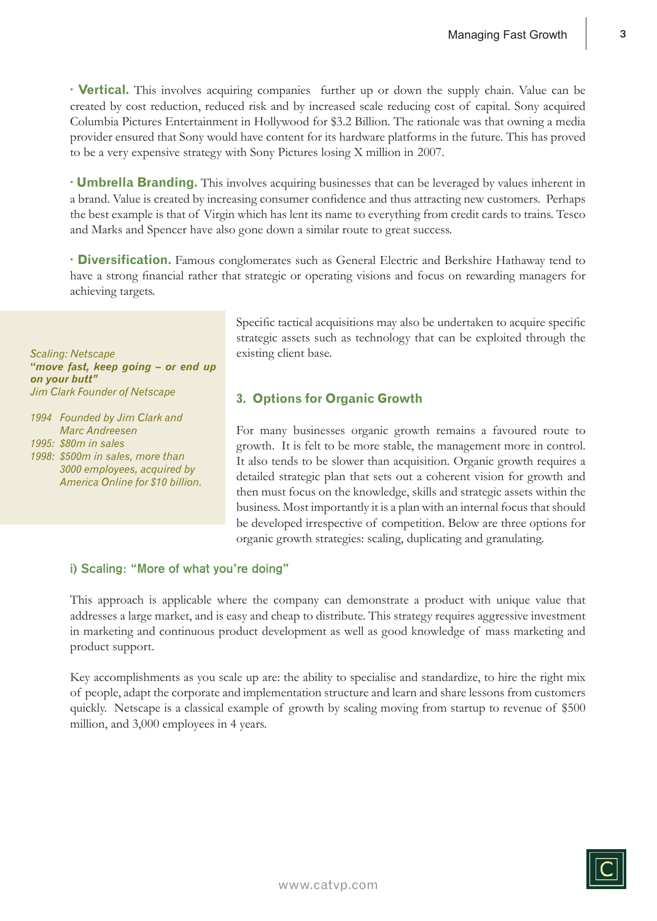**· Vertical.** This involves acquiring companies further up or down the supply chain. Value can be created by cost reduction, reduced risk and by increased scale reducing cost of capital. Sony acquired Columbia Pictures Entertainment in Hollywood for \$3.2 Billion. The rationale was that owning a media provider ensured that Sony would have content for its hardware platforms in the future. This has proved to be a very expensive strategy with Sony Pictures losing X million in 2007.

**· Umbrella Branding.** This involves acquiring businesses that can be leveraged by values inherent in a brand. Value is created by increasing consumer confidence and thus attracting new customers. Perhaps the best example is that of Virgin which has lent its name to everything from credit cards to trains. Tesco and Marks and Spencer have also gone down a similar route to great success.

**· Diversification.** Famous conglomerates such as General Electric and Berkshire Hathaway tend to have a strong financial rather that strategic or operating visions and focus on rewarding managers for achieving targets.

*Scaling: Netscape* **"***move fast, keep going – or end up on your butt" Jim Clark Founder of Netscape*

*1994 Founded by Jim Clark and Marc Andreesen 1995: \$80m in sales 1998: \$500m in sales, more than 3000 employees, acquired by America Online for \$10 billion.*  Specific tactical acquisitions may also be undertaken to acquire specific strategic assets such as technology that can be exploited through the existing client base.

## **3. Options for Organic Growth**

For many businesses organic growth remains a favoured route to growth. It is felt to be more stable, the management more in control. It also tends to be slower than acquisition. Organic growth requires a detailed strategic plan that sets out a coherent vision for growth and then must focus on the knowledge, skills and strategic assets within the business. Most importantly it is a plan with an internal focus that should be developed irrespective of competition. Below are three options for organic growth strategies: scaling, duplicating and granulating.

## **i) Scaling: "More of what you're doing"**

This approach is applicable where the company can demonstrate a product with unique value that addresses a large market, and is easy and cheap to distribute. This strategy requires aggressive investment in marketing and continuous product development as well as good knowledge of mass marketing and product support.

Key accomplishments as you scale up are: the ability to specialise and standardize, to hire the right mix of people, adapt the corporate and implementation structure and learn and share lessons from customers quickly. Netscape is a classical example of growth by scaling moving from startup to revenue of \$500 million, and 3,000 employees in 4 years.

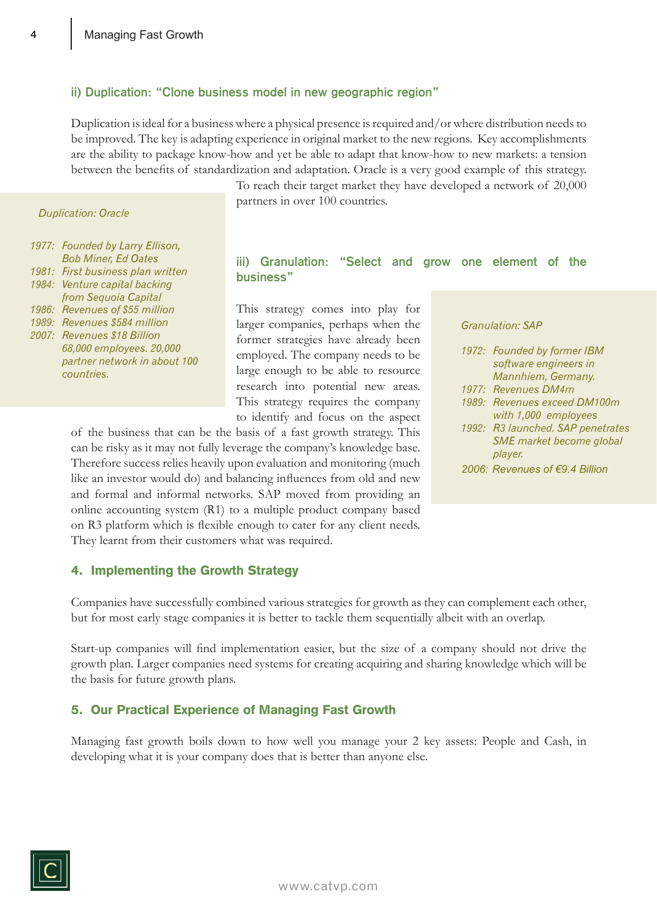#### **ii) Duplication: "Clone business model in new geographic region"**

Duplication is ideal for a business where a physical presence is required and/or where distribution needs to be improved. The key is adapting experience in original market to the new regions. Key accomplishments are the ability to package know-how and yet be able to adapt that know-how to new markets: a tension between the benefits of standardization and adaptation. Oracle is a very good example of this strategy.

#### *Duplication: Oracle*

|       | 1977: Founded by Larry Ellison,   |
|-------|-----------------------------------|
|       | <b>Bob Miner, Ed Oates</b>        |
|       | 1981: First business plan written |
|       | 1984: Venture capital backing     |
|       | from Sequoia Capital              |
| 1986: | Revenues of \$55 million          |
| 1989: | Revenues \$584 million            |
| 2007: | <b>Revenues \$18 Billion</b>      |
|       | 68,000 employees. 20,000          |
|       | partner network in about 100      |
|       | countries.                        |
|       |                                   |

To reach their target market they have developed a network of 20,000 partners in over 100 countries.

## **iii) Granulation: "Select and grow one element of the business"**

This strategy comes into play for larger companies, perhaps when the former strategies have already been employed. The company needs to be large enough to be able to resource research into potential new areas. This strategy requires the company to identify and focus on the aspect

of the business that can be the basis of a fast growth strategy. This can be risky as it may not fully leverage the company's knowledge base. Therefore success relies heavily upon evaluation and monitoring (much like an investor would do) and balancing influences from old and new and formal and informal networks. SAP moved from providing an online accounting system (R1) to a multiple product company based on R3 platform which is flexible enough to cater for any client needs. They learnt from their customers what was required.

#### *Granulation: SAP*

| 1972: Founded by former IBM       |
|-----------------------------------|
| software engineers in             |
| Mannhiem, Germany.                |
| 1977: Revenues DM4m               |
| 1989: Revenues exceed DM100m      |
| with 1,000 employees              |
| 1992: R3 launched. SAP penetrates |
| SME market become global          |
| player.                           |
| 2006: Revenues of €9.4 Billion    |

#### 4. Implementing the Growth Strategy

Companies have successfully combined various strategies for growth as they can complement each other, but for most early stage companies it is better to tackle them sequentially albeit with an overlap.

Start-up companies will find implementation easier, but the size of a company should not drive the growth plan. Larger companies need systems for creating acquiring and sharing knowledge which will be the basis for future growth plans.

#### 5. Our Practical Experience of Managing Fast Growth

Managing fast growth boils down to how well you manage your 2 key assets: People and Cash, in developing what it is your company does that is better than anyone else.

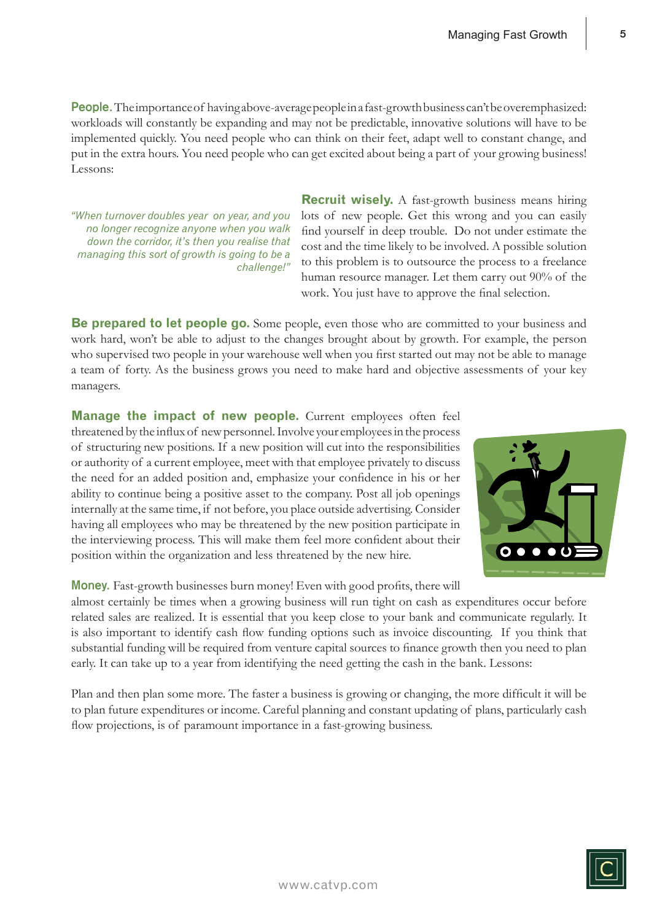People. The importance of having above-average people in a fast-growth business can't be overemphasized: workloads will constantly be expanding and may not be predictable, innovative solutions will have to be implemented quickly. You need people who can think on their feet, adapt well to constant change, and put in the extra hours. You need people who can get excited about being a part of your growing business! Lessons:

*"When turnover doubles year on year, and you no longer recognize anyone when you walk down the corridor, it's then you realise that managing this sort of growth is going to be a challenge!"*

**Recruit wisely.** A fast-growth business means hiring lots of new people. Get this wrong and you can easily find yourself in deep trouble. Do not under estimate the cost and the time likely to be involved. A possible solution to this problem is to outsource the process to a freelance human resource manager. Let them carry out 90% of the work. You just have to approve the final selection.

**Be prepared to let people go.** Some people, even those who are committed to your business and work hard, won't be able to adjust to the changes brought about by growth. For example, the person who supervised two people in your warehouse well when you first started out may not be able to manage a team of forty. As the business grows you need to make hard and objective assessments of your key managers.

**Manage the impact of new people.** Current employees often feel threatened by the influx of new personnel. Involve your employees in the process of structuring new positions. If a new position will cut into the responsibilities or authority of a current employee, meet with that employee privately to discuss the need for an added position and, emphasize your confidence in his or her ability to continue being a positive asset to the company. Post all job openings internally at the same time, if not before, you place outside advertising. Consider having all employees who may be threatened by the new position participate in the interviewing process. This will make them feel more confident about their position within the organization and less threatened by the new hire.

**Money.** Fast-growth businesses burn money! Even with good profits, there will

almost certainly be times when a growing business will run tight on cash as expenditures occur before related sales are realized. It is essential that you keep close to your bank and communicate regularly. It is also important to identify cash flow funding options such as invoice discounting. If you think that substantial funding will be required from venture capital sources to finance growth then you need to plan early. It can take up to a year from identifying the need getting the cash in the bank. Lessons:

Plan and then plan some more. The faster a business is growing or changing, the more difficult it will be to plan future expenditures or income. Careful planning and constant updating of plans, particularly cash flow projections, is of paramount importance in a fast-growing business.